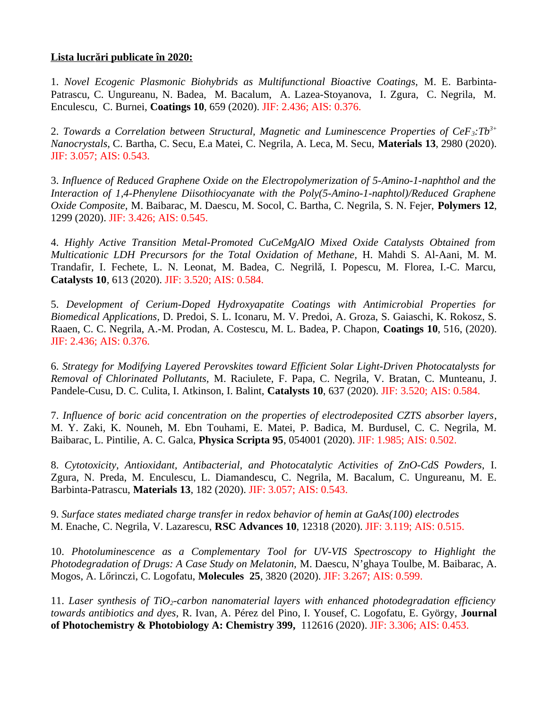## **Lista lucrări publicate în 2020:**

1. *Novel Ecogenic Plasmonic Biohybrids as Multifunctional Bioactive Coatings,* M. E. Barbinta-Patrascu, C. Ungureanu, N. Badea, M. Bacalum, A. Lazea-Stoyanova, I. Zgura, C. Negrila, M. Enculescu, C. Burnei, **Coatings 10**, 659 (2020). JIF: 2.436; AIS: 0.376.

2. *Towards a Correlation between Structural, Magnetic and Luminescence Properties of CeF3:Tb3+ Nanocrystals*, C. Bartha, C. Secu, E.a Matei, C. Negrila, A. Leca, M. Secu, **Materials 13**, 2980 (2020). JIF: 3.057; AIS: 0.543.

3. *Influence of Reduced Graphene Oxide on the Electropolymerization of 5-Amino-1-naphthol and the Interaction of 1,4-Phenylene Diisothiocyanate with the Poly(5-Amino-1-naphtol)/Reduced Graphene Oxide Composite,* M. Baibarac, M. Daescu, M. Socol, C. Bartha, C. Negrila, S. N. Fejer, **Polymers 12**, 1299 (2020). JIF: 3.426; AIS: 0.545.

4. *Highly Active Transition Metal-Promoted CuCeMgAlO Mixed Oxide Catalysts Obtained from Multicationic LDH Precursors for the Total Oxidation of Methane,* H. Mahdi S. Al-Aani, M. M. Trandafir, I. Fechete, L. N. Leonat, M. Badea, C. Negrilă, I. Popescu, M. Florea, I.-C. Marcu, **Catalysts 10**, 613 (2020). JIF: 3.520; AIS: 0.584.

5. *Development of Cerium-Doped Hydroxyapatite Coatings with Antimicrobial Properties for Biomedical Applications,* D. Predoi, S. L. Iconaru, M. V. Predoi, A. Groza, S. Gaiaschi, K. Rokosz, S. Raaen, C. C. Negrila, A.-M. Prodan, A. Costescu, M. L. Badea, P. Chapon, **Coatings 10**, 516, (2020). JIF: 2.436; AIS: 0.376.

6. *Strategy for Modifying Layered Perovskites toward Efficient Solar Light-Driven Photocatalysts for Removal of Chlorinated Pollutants,* M. Raciulete, F. Papa, C. Negrila, V. Bratan, C. Munteanu, J. Pandele-Cusu, D. C. Culita, I. Atkinson, I. Balint, **Catalysts 10**, 637 (2020). JIF: 3.520; AIS: 0.584.

7. *Influence of boric acid concentration on the properties of electrodeposited CZTS absorber layers*, M. Y. Zaki, K. Nouneh, M. Ebn Touhami, E. Matei, P. Badica, M. Burdusel, C. C. Negrila, M. Baibarac, L. Pintilie, A. C. Galca, **Physica Scripta 95**, 054001 (2020). JIF: 1.985; AIS: 0.502.

8. *Cytotoxicity, Antioxidant, Antibacterial, and Photocatalytic Activities of ZnO-CdS Powders,* I. Zgura, N. Preda, M. Enculescu, L. Diamandescu, C. Negrila, M. Bacalum, C. Ungureanu, M. E. Barbinta-Patrascu, **Materials 13**, 182 (2020). JIF: 3.057; AIS: 0.543.

9. *Surface states mediated charge transfer in redox behavior of hemin at GaAs(100) electrodes* M. Enache, C. Negrila, V. Lazarescu, **RSC Advances 10**, 12318 (2020). JIF: 3.119; AIS: 0.515.

10. *Photoluminescence as a Complementary Tool for UV-VIS Spectroscopy to Highlight the Photodegradation of Drugs: A Case Study on Melatonin,* M. Daescu, N'ghaya Toulbe, M. Baibarac, A. Mogos, A. Lőrinczi, C. Logofatu, **Molecules 25**, 3820 (2020). JIF: 3.267; AIS: 0.599.

11. *Laser synthesis of TiO2-carbon nanomaterial layers with enhanced photodegradation efficiency towards antibiotics and dyes,* R. Ivan, A. Pérez del Pino, I. Yousef, C. Logofatu, E. György, **Journal of Photochemistry & Photobiology A: Chemistry 399,** 112616 (2020). JIF: 3.306; AIS: 0.453.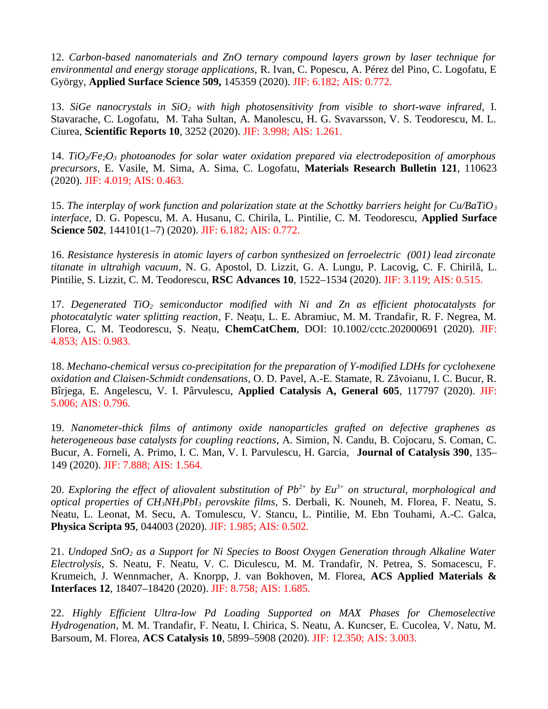12. *Carbon-based nanomaterials and ZnO ternary compound layers grown by laser technique for environmental and energy storage applications,* R. Ivan, C. Popescu, A. Pérez del Pino, C. Logofatu, E György, **Applied Surface Science 509,** 145359 (2020). JIF: 6.182; AIS: 0.772.

13. *SiGe nanocrystals in SiO2 with high photosensitivity from visible to short-wave infrared,* I. Stavarache, C. Logofatu, M. Taha Sultan, A. Manolescu, H. G. Svavarsson, V. S. Teodorescu, M. L. Ciurea, **Scientific Reports 10**, 3252 (2020). JIF: 3.998; AIS: 1.261.

14. *TiO2/Fe2O3 photoanodes for solar water oxidation prepared via electrodeposition of amorphous precursors,* E. Vasile, M. Sima, A. Sima, C. Logofatu, **Materials Research Bulletin 121**, 110623 (2020). JIF: 4.019; AIS: 0.463.

15. *The interplay of work function and polarization state at the Schottky barriers height for Cu/BaTiO<sup>3</sup> interface*, D. G. Popescu, M. A. Husanu, C. Chirila, L. Pintilie, C. M. Teodorescu, **Applied Surface Science 502**, 144101(1–7) (2020). JIF: 6.182; AIS: 0.772.

16. *Resistance hysteresis in atomic layers of carbon synthesized on ferroelectric (001) lead zirconate titanate in ultrahigh vacuum*, N. G. Apostol, D. Lizzit, G. A. Lungu, P. Lacovig, C. F. Chirilă, L. Pintilie, S. Lizzit, C. M. Teodorescu, **RSC Advances 10**, 1522–1534 (2020). JIF: 3.119; AIS: 0.515.

17. *Degenerated TiO2 semiconductor modified with Ni and Zn as efficient photocatalysts for photocatalytic water splitting reaction*, F. Neațu, L. E. Abramiuc, M. M. Trandafir, R. F. Negrea, M. Florea, C. M. Teodorescu, Ș. Neațu, **ChemCatChem**, DOI: 10.1002/cctc.202000691 (2020). JIF: 4.853; AIS: 0.983.

18. *Mechano-chemical versus co-precipitation for the preparation of Y-modified LDHs for cyclohexene oxidation and Claisen-Schmidt condensations*, O. D. Pavel, A.-E. Stamate, R. Zăvoianu, I. C. Bucur, R. Bîrjega, E. Angelescu, V. I. Pârvulescu, **Applied Catalysis A, General 605**, 117797 (2020). JIF: 5.006; AIS: 0.796.

19. *Nanometer-thick films of antimony oxide nanoparticles grafted on defective graphenes as heterogeneous base catalysts for coupling reactions*, A. Simion, N. Candu, B. Cojocaru, S. Coman, C. Bucur, A. Forneli, A. Primo, I. C. Man, V. I. Parvulescu, H. Garcia, **Journal of Catalysis 390**, 135– 149 (2020). JIF: 7.888; AIS: 1.564.

20. *Exploring the effect of aliovalent substitution of Pb2+ by Eu3+ on structural, morphological and optical properties of CH3NH3PbI3 perovskite films*, S. Derbali, K. Nouneh, M. Florea, F. Neatu, S. Neatu, L. Leonat, M. Secu, A. Tomulescu, V. Stancu, L. Pintilie, M. Ebn Touhami, A.-C. Galca, **Physica Scripta 95**, 044003 (2020). JIF: 1.985; AIS: 0.502.

21. *Undoped SnO2 as a Support for Ni Species to Boost Oxygen Generation through Alkaline Water Electrolysis*, S. Neatu, F. Neatu, V. C. Diculescu, M. M. Trandafir, N. Petrea, S. Somacescu, F. Krumeich, J. Wennmacher, A. Knorpp, J. van Bokhoven, M. Florea, **ACS Applied Materials & Interfaces 12**, 18407–18420 (2020). JIF: 8.758; AIS: 1.685.

22. *Highly Efficient Ultra-low Pd Loading Supported on MAX Phases for Chemoselective Hydrogenation*, M. M. Trandafir, F. Neatu, I. Chirica, S. Neatu, A. Kuncser, E. Cucolea, V. Natu, M. Barsoum, M. Florea, **ACS Catalysis 10**, 5899–5908 (2020). JIF: 12.350; AIS: 3.003.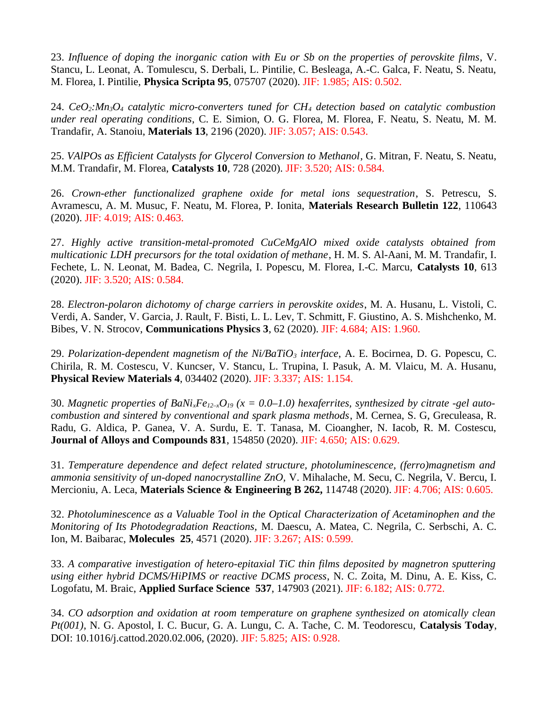23. *Influence of doping the inorganic cation with Eu or Sb on the properties of perovskite films*, V. Stancu, L. Leonat, A. Tomulescu, S. Derbali, L. Pintilie, C. Besleaga, A.-C. Galca, F. Neatu, S. Neatu, M. Florea, I. Pintilie, **Physica Scripta 95**, 075707 (2020). JIF: 1.985; AIS: 0.502.

24. *CeO2:Mn3O4 catalytic micro-converters tuned for CH4 detection based on catalytic combustion under real operating conditions*, C. E. Simion, O. G. Florea, M. Florea, F. Neatu, S. Neatu, M. M. Trandafir, A. Stanoiu, **Materials 13**, 2196 (2020). JIF: 3.057; AIS: 0.543.

25. *VAlPOs as Efficient Catalysts for Glycerol Conversion to Methanol*, G. Mitran, F. Neatu, S. Neatu, M.M. Trandafir, M. Florea, **Catalysts 10**, 728 (2020). JIF: 3.520; AIS: 0.584.

26. *Crown-ether functionalized graphene oxide for metal ions sequestration*, S. Petrescu, S. Avramescu, A. M. Musuc, F. Neatu, M. Florea, P. Ionita, **Materials Research Bulletin 122**, 110643 (2020). JIF: 4.019; AIS: 0.463.

27. *Highly active transition-metal-promoted CuCeMgAlO mixed oxide catalysts obtained from multicationic LDH precursors for the total oxidation of methane*, H. M. S. Al-Aani, M. M. Trandafir, I. Fechete, L. N. Leonat, M. Badea, C. Negrila, I. Popescu, M. Florea, I.-C. Marcu, **Catalysts 10**, 613 (2020). JIF: 3.520; AIS: 0.584.

28. *Electron-polaron dichotomy of charge carriers in perovskite oxides*, M. A. Husanu, L. Vistoli, C. Verdi, A. Sander, V. Garcia, J. Rault, F. Bisti, L. L. Lev, T. Schmitt, F. Giustino, A. S. Mishchenko, M. Bibes, V. N. Strocov, **Communications Physics 3**, 62 (2020). JIF: 4.684; AIS: 1.960.

29. *Polarization-dependent magnetism of the Ni/BaTiO3 interface*, A. E. Bocirnea, D. G. Popescu, C. Chirila, R. M. Costescu, V. Kuncser, V. Stancu, L. Trupina, I. Pasuk, A. M. Vlaicu, M. A. Husanu, **Physical Review Materials 4**, 034402 (2020). JIF: 3.337; AIS: 1.154.

30. *Magnetic properties of BaNi*<sub>*x*</sub>*Fe*<sub>12–x</sub> $O_{19}$  ( $x = 0.0-1.0$ ) hexaferrites, synthesized by citrate -gel auto*combustion and sintered by conventional and spark plasma methods*, M. Cernea, S. G, Greculeasa, R. Radu, G. Aldica, P. Ganea, V. A. Surdu, E. T. Tanasa, M. Cioangher, N. Iacob, R. M. Costescu, **Journal of Alloys and Compounds 831**, 154850 (2020). JIF: 4.650; AIS: 0.629.

31. *Temperature dependence and defect related structure, photoluminescence, (ferro)magnetism and ammonia sensitivity of un-doped nanocrystalline ZnO,* V. Mihalache, M. Secu, C. Negrila, V. Bercu, I. Mercioniu, A. Leca, **Materials Science & Engineering B 262,** 114748 (2020). JIF: 4.706; AIS: 0.605.

32. *Photoluminescence as a Valuable Tool in the Optical Characterization of Acetaminophen and the Monitoring of Its Photodegradation Reactions,* M. Daescu, A. Matea, C. Negrila, C. Serbschi, A. C. Ion, M. Baibarac, **Molecules 25**, 4571 (2020). JIF: 3.267; AIS: 0.599.

33. *A comparative investigation of hetero-epitaxial TiC thin films deposited by magnetron sputtering using either hybrid DCMS/HiPIMS or reactive DCMS process*, N. C. Zoita, M. Dinu, A. E. Kiss, C. Logofatu, M. Braic, **Applied Surface Science 537**, 147903 (2021). JIF: 6.182; AIS: 0.772.

34. *CO adsorption and oxidation at room temperature on graphene synthesized on atomically clean Pt(001)*, N. G. Apostol, I. C. Bucur, G. A. Lungu, C. A. Tache, C. M. Teodorescu, **Catalysis Today**, DOI: 10.1016/j.cattod.2020.02.006, (2020). JIF: 5.825; AIS: 0.928.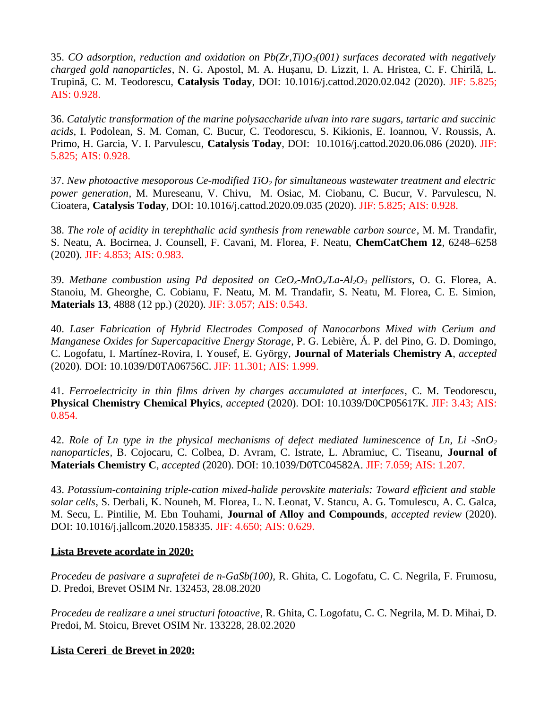35. *CO adsorption, reduction and oxidation on Pb(Zr,Ti)O3(001) surfaces decorated with negatively charged gold nanoparticles*, N. G. Apostol, M. A. Hușanu, D. Lizzit, I. A. Hristea, C. F. Chirilă, L. Trupină, C. M. Teodorescu, **Catalysis Today**, DOI: 10.1016/j.cattod.2020.02.042 (2020). JIF: 5.825; AIS: 0.928.

36. *Catalytic transformation of the marine polysaccharide ulvan into rare sugars, tartaric and succinic acids*, I. Podolean, S. M. Coman, C. Bucur, C. Teodorescu, S. Kikionis, E. Ioannou, V. Roussis, A. Primo, H. Garcia, V. I. Parvulescu, **Catalysis Today**, DOI: 10.1016/j.cattod.2020.06.086 (2020). JIF: 5.825; AIS: 0.928.

37. *New photoactive mesoporous Ce-modified TiO2 for simultaneous wastewater treatment and electric power generation*, M. Mureseanu, V. Chivu, M. Osiac, M. Ciobanu, C. Bucur, V. Parvulescu, N. Cioatera, **Catalysis Today**, DOI: 10.1016/j.cattod.2020.09.035 (2020). JIF: 5.825; AIS: 0.928.

38. *The role of acidity in terephthalic acid synthesis from renewable carbon source*, M. M. Trandafir, S. Neatu, A. Bocirnea, J. Counsell, F. Cavani, M. Florea, F. Neatu, **ChemCatChem 12**, 6248–6258 (2020). JIF: 4.853; AIS: 0.983.

39. *Methane combustion using Pd deposited on CeOx-MnOx/La-Al2O3 pellistors*, O. G. Florea, A. Stanoiu, M. Gheorghe, C. Cobianu, F. Neatu, M. M. Trandafir, S. Neatu, M. Florea, C. E. Simion, **Materials 13**, 4888 (12 pp.) (2020). JIF: 3.057; AIS: 0.543.

40. *Laser Fabrication of Hybrid Electrodes Composed of Nanocarbons Mixed with Cerium and Manganese Oxides for Supercapacitive Energy Storage*, P. G. Lebière, Á. P. del Pino, G. D. Domingo, C. Logofatu, I. Martínez-Rovira, I. Yousef, E. György, **Journal of Materials Chemistry A**, *accepted* (2020). DOI: 10.1039/D0TA06756C. JIF: 11.301; AIS: 1.999.

41. *Ferroelectricity in thin films driven by charges accumulated at interfaces*, C. M. Teodorescu, **Physical Chemistry Chemical Phyics**, *accepted* (2020). DOI: 10.1039/D0CP05617K. JIF: 3.43; AIS: 0.854.

42. *Role of Ln type in the physical mechanisms of defect mediated luminescence of Ln, Li -SnO<sup>2</sup> nanoparticles*, B. Cojocaru, C. Colbea, D. Avram, C. Istrate, L. Abramiuc, C. Tiseanu, **Journal of Materials Chemistry C**, *accepted* (2020). DOI: 10.1039/D0TC04582A. JIF: 7.059; AIS: 1.207.

43. *Potassium-containing triple-cation mixed-halide perovskite materials: Toward efficient and stable solar cells*, S. Derbali, K. Nouneh, M. Florea, L. N. Leonat, V. Stancu, A. G. Tomulescu, A. C. Galca, M. Secu, L. Pintilie, M. Ebn Touhami, **Journal of Alloy and Compounds**, *accepted review* (2020). DOI: 10.1016/j.jallcom.2020.158335. JIF: 4.650; AIS: 0.629.

## **Lista Brevete acordate in 2020:**

*Procedeu de pasivare a suprafetei de n-GaSb(100),* R. Ghita, C. Logofatu, C. C. Negrila, F. Frumosu, D. Predoi, Brevet OSIM Nr. 132453, 28.08.2020

*Procedeu de realizare a unei structuri fotoactive*, R. Ghita, C. Logofatu, C. C. Negrila, M. D. Mihai, D. Predoi, M. Stoicu, Brevet OSIM Nr. 133228, 28.02.2020

## **Lista Cereri de Brevet in 2020:**